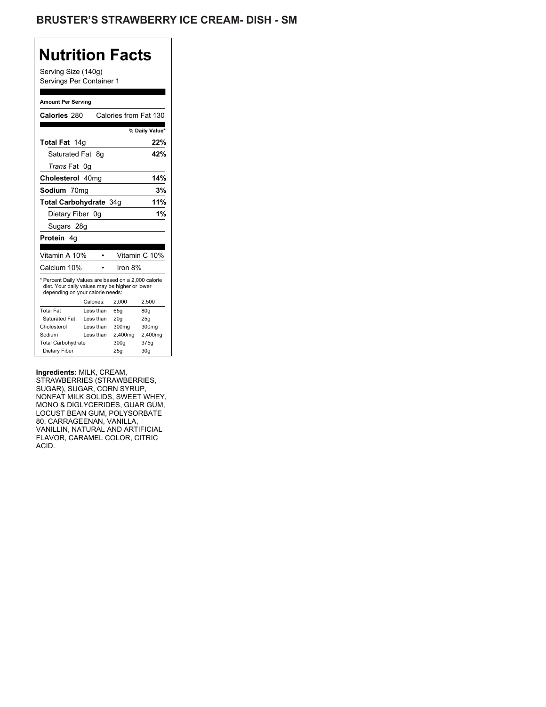## **Nutrition Facts**

Serving Size (140g) Servings Per Container 1

#### **Amount Per Serving**

| Calories 280                                                                                                                              |    |           | Calories from Fat 130 |                |
|-------------------------------------------------------------------------------------------------------------------------------------------|----|-----------|-----------------------|----------------|
|                                                                                                                                           |    |           |                       | % Daily Value* |
| Total Fat 14g                                                                                                                             |    |           |                       | 22%            |
| Saturated Fat                                                                                                                             |    | 8g        |                       | 42%            |
| <i>Trans</i> Fat                                                                                                                          | 0g |           |                       |                |
| Cholesterol 40mg                                                                                                                          |    |           |                       | 14%            |
| Sodium 70mg                                                                                                                               |    |           |                       | 3%             |
| Total Carbohydrate 34g                                                                                                                    |    |           |                       | 11%            |
| Dietary Fiber 0g                                                                                                                          |    |           |                       | 1%             |
| Sugars 28g                                                                                                                                |    |           |                       |                |
| Protein 4q                                                                                                                                |    |           |                       |                |
|                                                                                                                                           |    |           |                       |                |
| Vitamin A 10%                                                                                                                             |    |           |                       | Vitamin C 10%  |
| Calcium 10%                                                                                                                               |    |           | Iron $8%$             |                |
| * Percent Daily Values are based on a 2,000 calorie<br>diet. Your daily values may be higher or lower<br>depending on your calorie needs: |    | Calories: | 2,000                 | 2,500          |
| <b>Total Fat</b>                                                                                                                          |    | Less than | 65q                   | 80q            |
| Saturated Fat                                                                                                                             |    | Less than | 20 <sub>g</sub>       | 25g            |
| Cholesterol                                                                                                                               |    | Less than | 300mg                 | 300mg          |
| Sodium                                                                                                                                    |    | Less than | 2,400mg               | 2,400mg        |
| <b>Total Carbohydrate</b>                                                                                                                 |    |           | 300g                  | 375g           |
| Dietary Fiber                                                                                                                             |    | 25g       | 30 <sub>g</sub>       |                |

### **Ingredients:** MILK, CREAM,

STRAWBERRIES (STRAWBERRIES, SUGAR), SUGAR, CORN SYRUP, NONFAT MILK SOLIDS, SWEET WHEY, MONO & DIGLYCERIDES, GUAR GUM, LOCUST BEAN GUM, POLYSORBATE 80, CARRAGEENAN, VANILLA, VANILLIN, NATURAL AND ARTIFICIAL FLAVOR, CARAMEL COLOR, CITRIC ACID.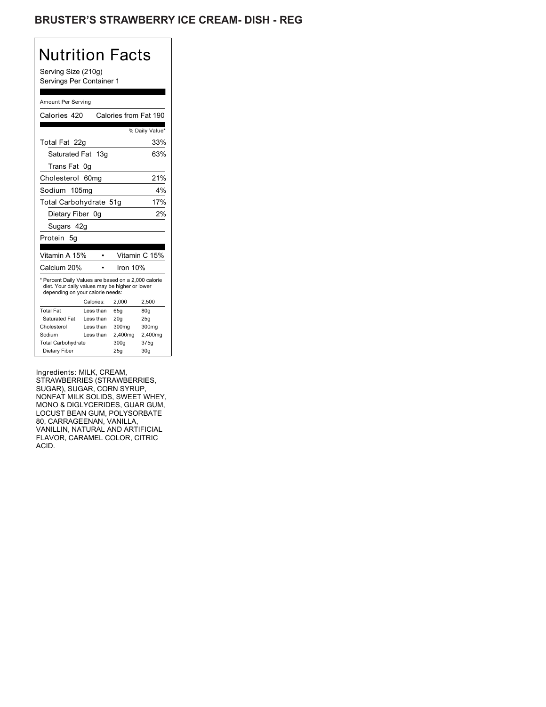## BRUSTER'S STRAWBERRY ICE CREAM- DISH - REG

# Nutrition Facts

Serving Size (210g) Servings Per Container 1

### Amount Per Serving

| Calories 420                                                                                                                              |                   | Calories from Fat 190 |                 |
|-------------------------------------------------------------------------------------------------------------------------------------------|-------------------|-----------------------|-----------------|
|                                                                                                                                           |                   |                       | % Daily Value*  |
| Total Fat 22q                                                                                                                             |                   |                       | 33%             |
| Saturated Fat 13q                                                                                                                         |                   |                       | 63%             |
| Trans Fat                                                                                                                                 | 0g                |                       |                 |
| Cholesterol                                                                                                                               | 60 <sub>mq</sub>  |                       | 21%             |
| Sodium                                                                                                                                    | 105 <sub>mg</sub> |                       | 4%              |
| Total Carbohydrate 51g                                                                                                                    |                   |                       | 17%             |
| Dietary Fiber 0g                                                                                                                          |                   |                       | 2%              |
| Sugars 42g                                                                                                                                |                   |                       |                 |
| Protein<br>5g                                                                                                                             |                   |                       |                 |
|                                                                                                                                           |                   |                       |                 |
| Vitamin A 15%                                                                                                                             |                   |                       | Vitamin C 15%   |
| Calcium 20%                                                                                                                               |                   | Iron 10%              |                 |
| * Percent Daily Values are based on a 2,000 calorie<br>diet. Your daily values may be higher or lower<br>depending on your calorie needs: |                   |                       |                 |
|                                                                                                                                           | Calories:         | 2.000                 | 2,500           |
| <b>Total Fat</b>                                                                                                                          | Less than         | 65q                   | 80q             |
| Saturated Fat                                                                                                                             | Less than         | 20 <sub>g</sub>       | 25g             |
| Cholesterol                                                                                                                               | I ess than        | 300mg                 | 300mg           |
| Sodium                                                                                                                                    | Less than         | 2,400mg               | 2,400mg         |
| <b>Total Carbohydrate</b>                                                                                                                 |                   | 300g                  | 375g            |
| Dietary Fiber                                                                                                                             |                   | 25q                   | 30 <sub>q</sub> |

Ingredients: MILK, CREAM, STRAWBERRIES (STRAWBERRIES, SUGAR), SUGAR, CORN SYRUP, NONFAT MILK SOLIDS, SWEET WHEY, MONO & DIGLYCERIDES, GUAR GUM, LOCUST BEAN GUM, POLYSORBATE 80, CARRAGEENAN, VANILLA, VANILLIN, NATURAL AND ARTIFICIAL FLAVOR, CARAMEL COLOR, CITRIC ACID.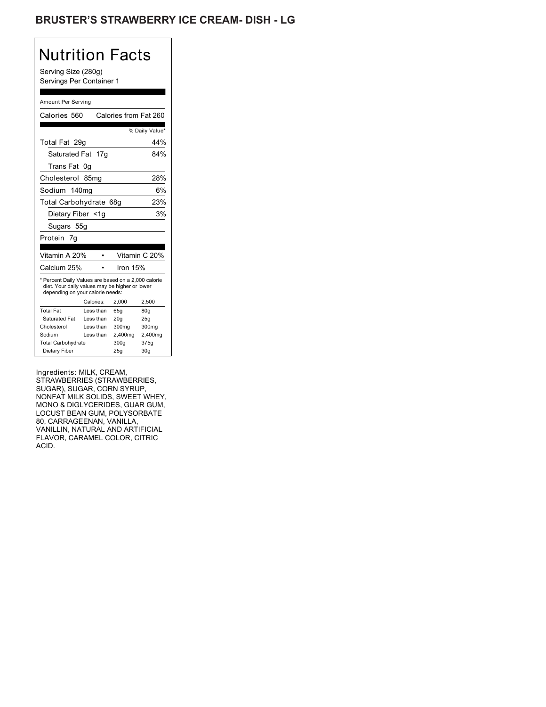## BRUSTER'S STRAWBERRY ICE CREAM- DISH - LG

# Nutrition Facts

Serving Size (280g) Servings Per Container 1

### Amount Per Serving

| Calories 560                                                                                                                              |                        | Calories from Fat 260 |                 |
|-------------------------------------------------------------------------------------------------------------------------------------------|------------------------|-----------------------|-----------------|
|                                                                                                                                           |                        |                       | % Daily Value*  |
| Total Fat 29q                                                                                                                             |                        |                       | 44%             |
| Saturated Fat 17g                                                                                                                         |                        |                       | 84%             |
| Trans Fat                                                                                                                                 | 0g                     |                       |                 |
| Cholesterol                                                                                                                               | 85 <sub>mq</sub>       |                       | 28%             |
| Sodium 140mg                                                                                                                              |                        |                       | 6%              |
| Total Carbohydrate 68g                                                                                                                    |                        |                       | 23%             |
| Dietary Fiber <1g                                                                                                                         |                        |                       | 3%              |
| Sugars 55g                                                                                                                                |                        |                       |                 |
| Protein<br>7g                                                                                                                             |                        |                       |                 |
|                                                                                                                                           |                        |                       |                 |
| Vitamin A 20%                                                                                                                             |                        |                       | Vitamin C 20%   |
| Calcium 25%                                                                                                                               |                        | Iron 15%              |                 |
| * Percent Daily Values are based on a 2,000 calorie<br>diet. Your daily values may be higher or lower<br>depending on your calorie needs: |                        |                       |                 |
| <b>Total Fat</b>                                                                                                                          | Calories:<br>Less than | 2,000                 | 2,500           |
| Saturated Fat                                                                                                                             | Less than              | 65g                   | 80 <sub>g</sub> |
| Cholesterol                                                                                                                               | Less than              | 20q<br>300mg          | 25g<br>300mg    |
| Sodium                                                                                                                                    | Less than              | 2,400mg               | 2,400mg         |
| <b>Total Carbohydrate</b>                                                                                                                 |                        | 300g                  | 375g            |
| Dietary Fiber                                                                                                                             |                        | 25q                   | 30 <sub>q</sub> |

Ingredients: MILK, CREAM, STRAWBERRIES (STRAWBERRIES, SUGAR), SUGAR, CORN SYRUP, NONFAT MILK SOLIDS, SWEET WHEY, MONO & DIGLYCERIDES, GUAR GUM, LOCUST BEAN GUM, POLYSORBATE 80, CARRAGEENAN, VANILLA, VANILLIN, NATURAL AND ARTIFICIAL FLAVOR, CARAMEL COLOR, CITRIC ACID.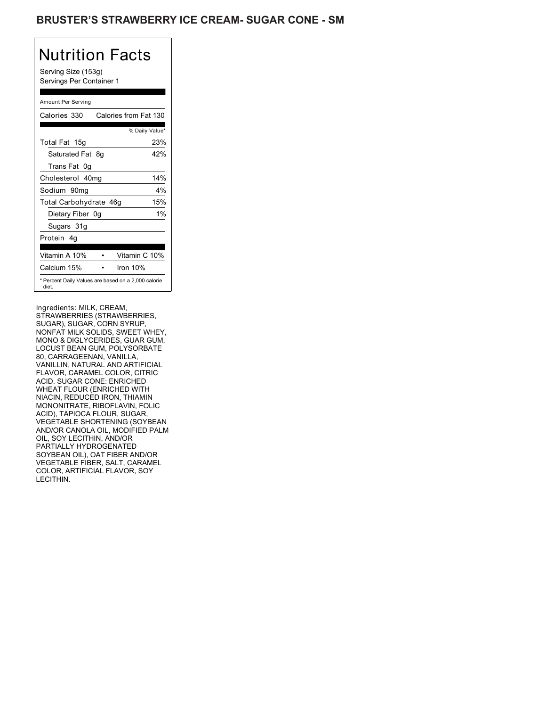## BRUSTER'S STRAWBERRY ICE CREAM- SUGAR CONE - SM

# Nutrition Facts

Serving Size (153g) Servings Per Container 1

### Amount Per Serving

| Calories 330           | Calories from Fat 130                               |
|------------------------|-----------------------------------------------------|
|                        | % Daily Value*                                      |
| Total Fat 15g          | 23%                                                 |
| Saturated Fat 8g       | 42%                                                 |
| Trans Fat 0q           |                                                     |
| Cholesterol 40mg       | 14%                                                 |
| Sodium 90mq            | $4\%$                                               |
| Total Carbohydrate 46g | 15%                                                 |
| Dietary Fiber 0g       | 1%                                                  |
| Sugars 31g             |                                                     |
| Protein 4q             |                                                     |
| Vitamin A 10%          | Vitamin C 10%                                       |
|                        |                                                     |
| Calcium 15%            | Iron $10%$                                          |
| diet.                  | * Percent Daily Values are based on a 2,000 calorie |

Ingredients: MILK, CREAM, STRAWBERRIES (STRAWBERRIES, SUGAR), SUGAR, CORN SYRUP, NONFAT MILK SOLIDS, SWEET WHEY, MONO & DIGLYCERIDES, GUAR GUM, LOCUST BEAN GUM, POLYSORBATE 80, CARRAGEENAN, VANILLA, VANILLIN, NATURAL AND ARTIFICIAL FLAVOR, CARAMEL COLOR, CITRIC ACID. SUGAR CONE: ENRICHED WHEAT FLOUR (ENRICHED WITH NIACIN, REDUCED IRON, THIAMIN MONONITRATE, RIBOFLAVIN, FOLIC ACID), TAPIOCA FLOUR, SUGAR, VEGETABLE SHORTENING (SOYBEAN AND/OR CANOLA OIL, MODIFIED PALM OIL, SOY LECITHIN, AND/OR PARTIALLY HYDROGENATED SOYBEAN OIL), OAT FIBER AND/OR VEGETABLE FIBER, SALT, CARAMEL COLOR, ARTIFICIAL FLAVOR, SOY LECITHIN.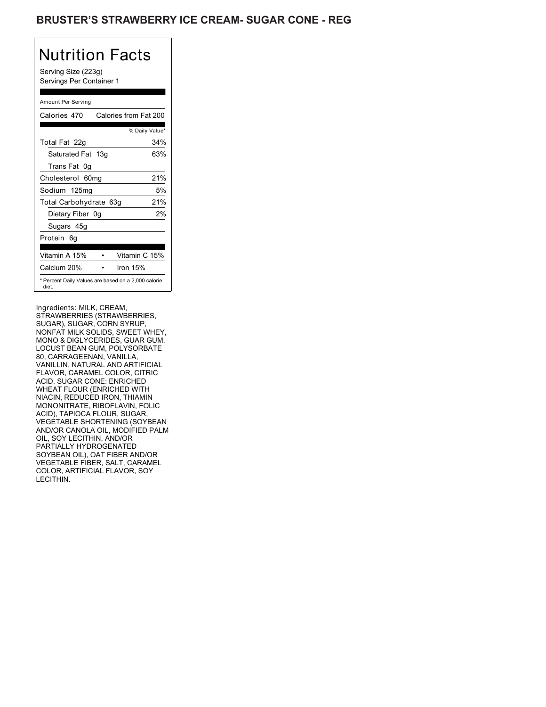## BRUSTER'S STRAWBERRY ICE CREAM- SUGAR CONE - REG

## Nutrition Facts

Serving Size (223g) Servings Per Container 1

### Amount Per Serving

| Calories 470                                                 | Calories from Fat 200 |
|--------------------------------------------------------------|-----------------------|
|                                                              | % Daily Value*        |
| Total Fat 22g                                                | 34%                   |
| Saturated Fat 13g                                            | 63%                   |
| Trans Fat 0q                                                 |                       |
| Cholesterol 60mg                                             | 21%                   |
| Sodium 125mg                                                 | 5%                    |
| Total Carbohydrate 63g                                       | 21%                   |
| Dietary Fiber 0g                                             | 2%                    |
| Sugars 45g                                                   |                       |
| Protein 6q                                                   |                       |
| Vitamin A 15%                                                | Vitamin C 15%         |
| Calcium 20%                                                  | Iron $15%$            |
| * Percent Daily Values are based on a 2,000 calorie<br>diet. |                       |

Ingredients: MILK, CREAM, STRAWBERRIES (STRAWBERRIES, SUGAR), SUGAR, CORN SYRUP, NONFAT MILK SOLIDS, SWEET WHEY, MONO & DIGLYCERIDES, GUAR GUM, LOCUST BEAN GUM, POLYSORBATE 80, CARRAGEENAN, VANILLA, VANILLIN, NATURAL AND ARTIFICIAL FLAVOR, CARAMEL COLOR, CITRIC ACID. SUGAR CONE: ENRICHED WHEAT FLOUR (ENRICHED WITH NIACIN, REDUCED IRON, THIAMIN MONONITRATE, RIBOFLAVIN, FOLIC ACID), TAPIOCA FLOUR, SUGAR, VEGETABLE SHORTENING (SOYBEAN AND/OR CANOLA OIL, MODIFIED PALM OIL, SOY LECITHIN, AND/OR PARTIALLY HYDROGENATED SOYBEAN OIL), OAT FIBER AND/OR VEGETABLE FIBER, SALT, CARAMEL COLOR, ARTIFICIAL FLAVOR, SOY LECITHIN.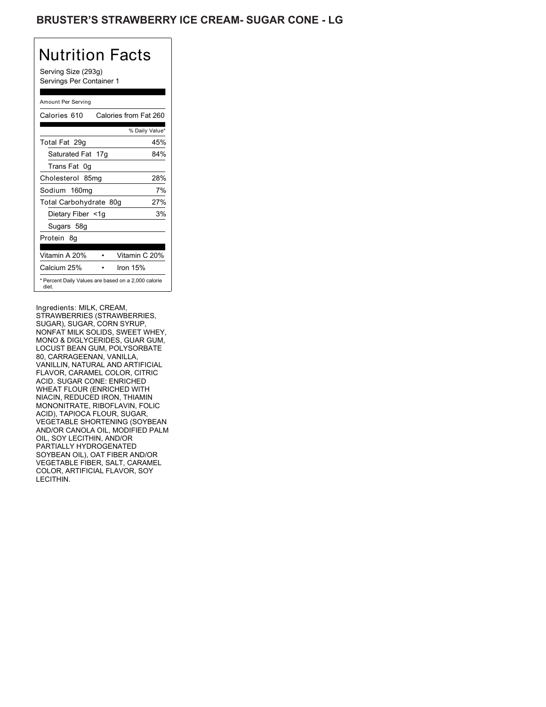## **BRUSTER'S STRAWBERRY ICE CREAM- SUGAR CONE - LG**

## Nutrition Facts

Serving Size (293g) Servings Per Container 1

### Amount Per Serving

| Calories 610           | Calories from Fat 260                               |
|------------------------|-----------------------------------------------------|
|                        | % Daily Value*                                      |
| Total Fat 29g          | 45%                                                 |
| Saturated Fat 17g      | 84%                                                 |
| Trans Fat 0q           |                                                     |
| Cholesterol 85mg       | 28%                                                 |
| Sodium 160mg           | 7%                                                  |
| Total Carbohydrate 80g | 27%                                                 |
| Dietary Fiber <1g      | 3%                                                  |
| Sugars 58g             |                                                     |
| Protein 8q             |                                                     |
|                        |                                                     |
| Vitamin A 20%          | Vitamin C 20%                                       |
| Calcium 25%            | Iron $15%$                                          |
| diet.                  | * Percent Daily Values are based on a 2,000 calorie |

Ingredients: MILK, CREAM, STRAWBERRIES (STRAWBERRIES, SUGAR), SUGAR, CORN SYRUP, NONFAT MILK SOLIDS, SWEET WHEY, MONO & DIGLYCERIDES, GUAR GUM, LOCUST BEAN GUM, POLYSORBATE 80, CARRAGEENAN, VANILLA, VANILLIN, NATURAL AND ARTIFICIAL FLAVOR, CARAMEL COLOR, CITRIC ACID. SUGAR CONE: ENRICHED WHEAT FLOUR (ENRICHED WITH NIACIN, REDUCED IRON, THIAMIN MONONITRATE, RIBOFLAVIN, FOLIC ACID), TAPIOCA FLOUR, SUGAR, VEGETABLE SHORTENING (SOYBEAN AND/OR CANOLA OIL, MODIFIED PALM OIL, SOY LECITHIN, AND/OR PARTIALLY HYDROGENATED SOYBEAN OIL), OAT FIBER AND/OR VEGETABLE FIBER, SALT, CARAMEL COLOR, ARTIFICIAL FLAVOR, SOY LECITHIN.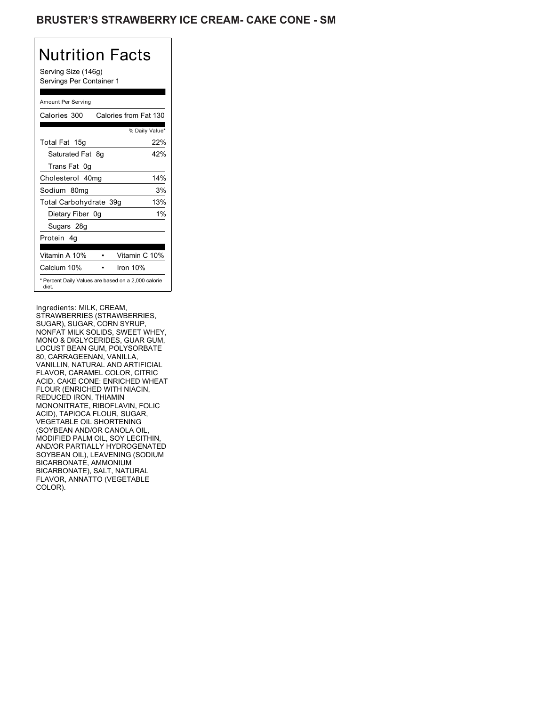## BRUSTER'S STRAWBERRY ICE CREAM- CAKE CONE - SM

## Nutrition Facts

Serving Size (146g) Servings Per Container 1

### Amount Per Serving

| Calories 300           | Calories from Fat 130                               |
|------------------------|-----------------------------------------------------|
|                        | % Daily Value*                                      |
| Total Fat 15g          | 22%                                                 |
| Saturated Fat 8g       | 42%                                                 |
| Trans Fat 0q           |                                                     |
| Cholesterol 40mg       | 14%                                                 |
| Sodium 80mg            | 3%                                                  |
| Total Carbohydrate 39g | 13%                                                 |
| Dietary Fiber 0g       | 1%                                                  |
| Sugars 28g             |                                                     |
| Protein 4q             |                                                     |
|                        |                                                     |
| Vitamin A 10%          | Vitamin C 10%                                       |
| Calcium 10%            | Iron $10%$                                          |
| diet.                  | * Percent Daily Values are based on a 2,000 calorie |

Ingredients: MILK, CREAM, STRAWBERRIES (STRAWBERRIES, SUGAR), SUGAR, CORN SYRUP, NONFAT MILK SOLIDS, SWEET WHEY, MONO & DIGLYCERIDES, GUAR GUM, LOCUST BEAN GUM, POLYSORBATE 80, CARRAGEENAN, VANILLA, VANILLIN, NATURAL AND ARTIFICIAL FLAVOR, CARAMEL COLOR, CITRIC ACID. CAKE CONE: ENRICHED WHEAT FLOUR (ENRICHED WITH NIACIN, REDUCED IRON, THIAMIN MONONITRATE, RIBOFLAVIN, FOLIC ACID), TAPIOCA FLOUR, SUGAR, VEGETABLE OIL SHORTENING (SOYBEAN AND/OR CANOLA OIL, MODIFIED PALM OIL, SOY LECITHIN, AND/OR PARTIALLY HYDROGENATED SOYBEAN OIL), LEAVENING (SODIUM BICARBONATE, AMMONIUM BICARBONATE), SALT, NATURAL FLAVOR, ANNATTO (VEGETABLE COLOR).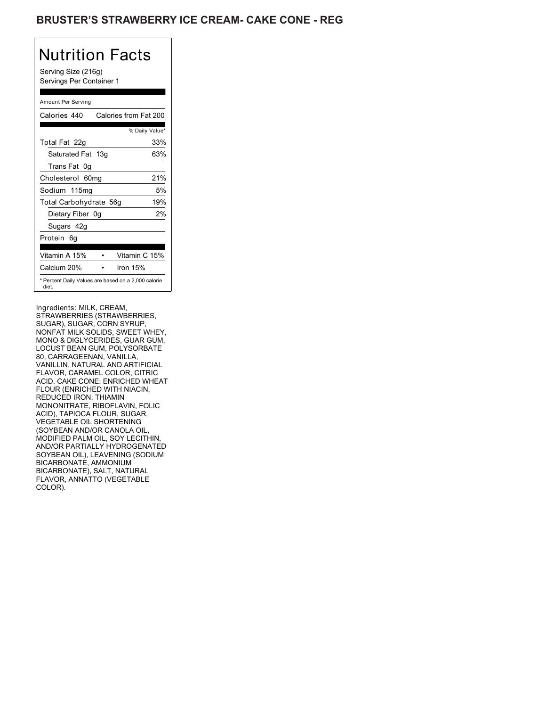## **BRUSTER'S STRAWBERRY ICE CREAM- CAKE CONE - REG**

## Nutrition Facts

Serving Size (216g) Servings Per Container 1

### Amount Per Serving

| Calories 440                                                 | Calories from Fat 200 |
|--------------------------------------------------------------|-----------------------|
|                                                              | % Daily Value*        |
| Total Fat 22g                                                | 33%                   |
| Saturated Fat 13g                                            | 63%                   |
| Trans Fat 0q                                                 |                       |
| Cholesterol 60mg                                             | 21%                   |
| Sodium 115mg                                                 | 5%                    |
| Total Carbohydrate 56g                                       | 19%                   |
| Dietary Fiber 0g                                             | 2%                    |
| Sugars 42g                                                   |                       |
| Protein 6g                                                   |                       |
| Vitamin A 15%                                                | Vitamin C 15%         |
| Calcium 20%                                                  | Iron $15%$            |
| * Percent Daily Values are based on a 2,000 calorie<br>diet. |                       |

Ingredients: MILK, CREAM, STRAWBERRIES (STRAWBERRIES, SUGAR), SUGAR, CORN SYRUP, NONFAT MILK SOLIDS, SWEET WHEY, MONO & DIGLYCERIDES, GUAR GUM, LOCUST BEAN GUM, POLYSORBATE 80, CARRAGEENAN, VANILLA, VANILLIN, NATURAL AND ARTIFICIAL FLAVOR, CARAMEL COLOR, CITRIC ACID. CAKE CONE: ENRICHED WHEAT FLOUR (ENRICHED WITH NIACIN, REDUCED IRON, THIAMIN MONONITRATE, RIBOFLAVIN, FOLIC ACID), TAPIOCA FLOUR, SUGAR, VEGETABLE OIL SHORTENING (SOYBEAN AND/OR CANOLA OIL, MODIFIED PALM OIL, SOY LECITHIN, AND/OR PARTIALLY HYDROGENATED SOYBEAN OIL), LEAVENING (SODIUM BICARBONATE, AMMONIUM BICARBONATE), SALT, NATURAL FLAVOR, ANNATTO (VEGETABLE COLOR).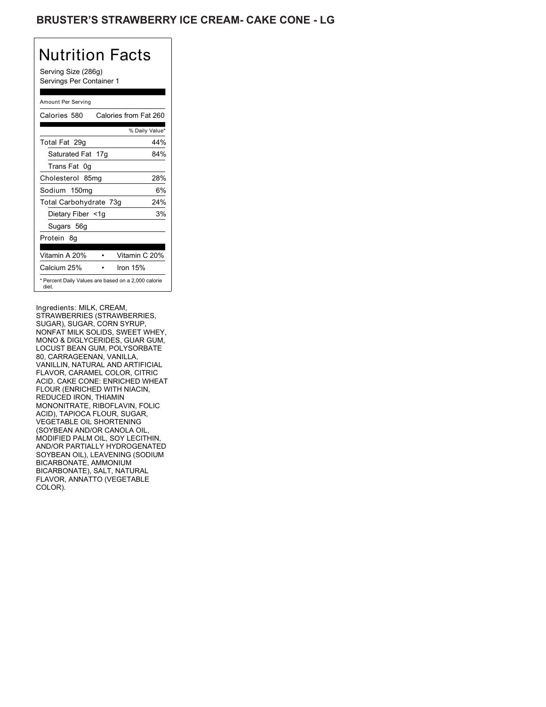## **BRUSTER'S STRAWBERRY ICE CREAM- CAKE CONE - LG**

# Nutrition Facts

Serving Size (286g) Servings Per Container 1

### Amount Per Serving

| Calories 580           | Calories from Fat 260                               |
|------------------------|-----------------------------------------------------|
|                        | % Daily Value*                                      |
| Total Fat 29g          | 44%                                                 |
| Saturated Fat 17g      | 84%                                                 |
| Trans Fat 0q           |                                                     |
| Cholesterol 85mg       | 28%                                                 |
| Sodium 150mg           | 6%                                                  |
| Total Carbohydrate 73g | 24%                                                 |
| Dietary Fiber <1g      | 3%                                                  |
| Sugars 56g             |                                                     |
| Protein 8g             |                                                     |
| Vitamin A 20%          | Vitamin C 20%                                       |
|                        |                                                     |
| Calcium 25%            | Iron $15%$                                          |
| diet.                  | * Percent Daily Values are based on a 2,000 calorie |

Ingredients: MILK, CREAM, STRAWBERRIES (STRAWBERRIES, SUGAR), SUGAR, CORN SYRUP, NONFAT MILK SOLIDS, SWEET WHEY, MONO & DIGLYCERIDES, GUAR GUM, LOCUST BEAN GUM, POLYSORBATE 80, CARRAGEENAN, VANILLA, VANILLIN, NATURAL AND ARTIFICIAL FLAVOR, CARAMEL COLOR, CITRIC ACID. CAKE CONE: ENRICHED WHEAT FLOUR (ENRICHED WITH NIACIN, REDUCED IRON, THIAMIN MONONITRATE, RIBOFLAVIN, FOLIC ACID), TAPIOCA FLOUR, SUGAR, VEGETABLE OIL SHORTENING (SOYBEAN AND/OR CANOLA OIL, MODIFIED PALM OIL, SOY LECITHIN, AND/OR PARTIALLY HYDROGENATED SOYBEAN OIL), LEAVENING (SODIUM BICARBONATE, AMMONIUM BICARBONATE), SALT, NATURAL FLAVOR, ANNATTO (VEGETABLE COLOR).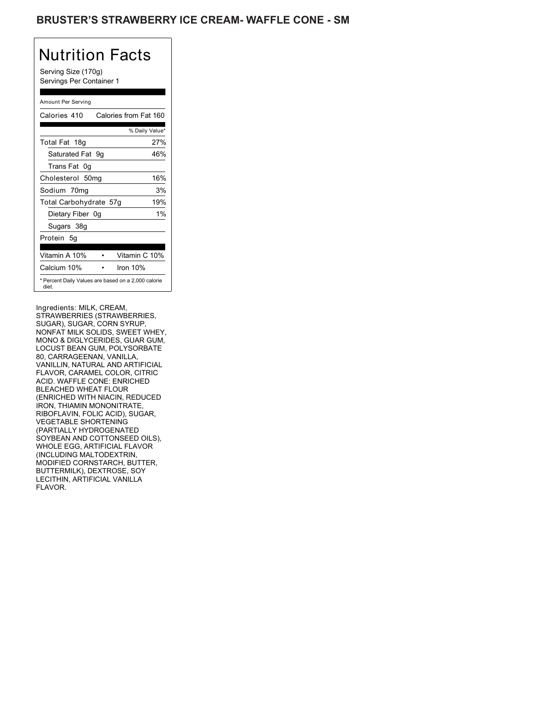## BRUSTER'S STRAWBERRY ICE CREAM- WAFFLE CONE - SM

# Nutrition Facts

Serving Size (170g) Servings Per Container 1

### Amount Per Serving

| Calories 410           | Calories from Fat 160                               |
|------------------------|-----------------------------------------------------|
|                        | % Daily Value*                                      |
| Total Fat 18g          | 27%                                                 |
| Saturated Fat 9q       | 46%                                                 |
| Trans Fat 0g           |                                                     |
| Cholesterol 50mg       | 16%                                                 |
| Sodium 70mg            | 3%                                                  |
| Total Carbohydrate 57g | 19%                                                 |
| Dietary Fiber 0g       | $1\%$                                               |
| Sugars 38g             |                                                     |
| Protein 5g             |                                                     |
|                        |                                                     |
| Vitamin A 10%          | Vitamin C 10%                                       |
| Calcium 10%            | Iron $10%$                                          |
| diet.                  | * Percent Daily Values are based on a 2,000 calorie |

Ingredients: MILK, CREAM, STRAWBERRIES (STRAWBERRIES, SUGAR), SUGAR, CORN SYRUP, NONFAT MILK SOLIDS, SWEET WHEY, MONO & DIGLYCERIDES, GUAR GUM, LOCUST BEAN GUM, POLYSORBATE 80, CARRAGEENAN, VANILLA, VANILLIN, NATURAL AND ARTIFICIAL FLAVOR, CARAMEL COLOR, CITRIC ACID. WAFFLE CONE: ENRICHED BLEACHED WHEAT FLOUR (ENRICHED WITH NIACIN, REDUCED IRON, THIAMIN MONONITRATE, RIBOFLAVIN, FOLIC ACID), SUGAR, VEGETABLE SHORTENING (PARTIALLY HYDROGENATED SOYBEAN AND COTTONSEED OILS), WHOLE EGG, ARTIFICIAL FLAVOR (INCLUDING MALTODEXTRIN, MODIFIED CORNSTARCH, BUTTER, BUTTERMILK), DEXTROSE, SOY LECITHIN, ARTIFICIAL VANILLA FLAVOR.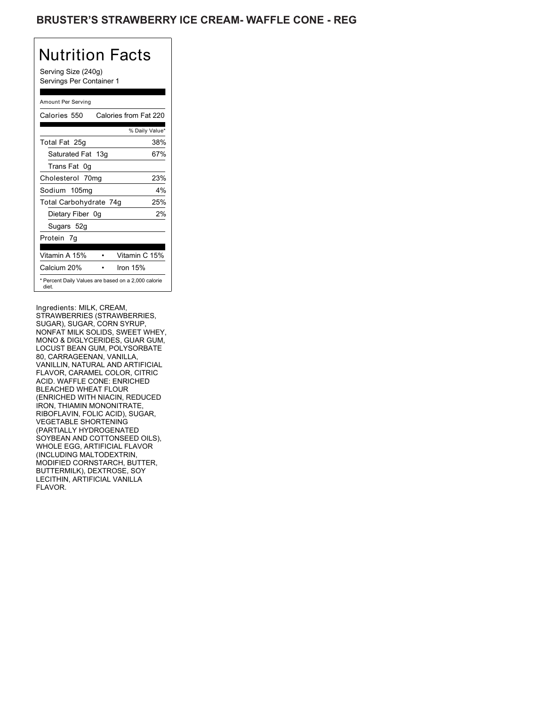## BRUSTER'S STRAWBERRY ICE CREAM- WAFFLE CONE - REG

# Nutrition Facts

Serving Size (240g) Servings Per Container 1

#### Amount Per Serving

| Calories 550                                                 | Calories from Fat 220 |
|--------------------------------------------------------------|-----------------------|
|                                                              | % Daily Value*        |
| Total Fat 25g                                                | 38%                   |
| Saturated Fat 13g                                            | 67%                   |
| Trans Fat 0q                                                 |                       |
| Cholesterol 70mg                                             | 23%                   |
| Sodium 105mg                                                 | 4%                    |
| Total Carbohydrate 74g                                       | 25%                   |
| Dietary Fiber 0g                                             | 2%                    |
| Sugars 52g                                                   |                       |
| Protein 7g                                                   |                       |
| Vitamin A 15%                                                | Vitamin C 15%         |
| Calcium 20%                                                  | Iron $15%$            |
| * Percent Daily Values are based on a 2,000 calorie<br>diet. |                       |

Ingredients: MILK, CREAM, STRAWBERRIES (STRAWBERRIES, SUGAR), SUGAR, CORN SYRUP, NONFAT MILK SOLIDS, SWEET WHEY, MONO & DIGLYCERIDES, GUAR GUM, LOCUST BEAN GUM, POLYSORBATE 80, CARRAGEENAN, VANILLA, VANILLIN, NATURAL AND ARTIFICIAL FLAVOR, CARAMEL COLOR, CITRIC ACID. WAFFLE CONE: ENRICHED BLEACHED WHEAT FLOUR (ENRICHED WITH NIACIN, REDUCED IRON, THIAMIN MONONITRATE, RIBOFLAVIN, FOLIC ACID), SUGAR, VEGETABLE SHORTENING (PARTIALLY HYDROGENATED SOYBEAN AND COTTONSEED OILS), WHOLE EGG, ARTIFICIAL FLAVOR (INCLUDING MALTODEXTRIN, MODIFIED CORNSTARCH, BUTTER, BUTTERMILK), DEXTROSE, SOY LECITHIN, ARTIFICIAL VANILLA FLAVOR.